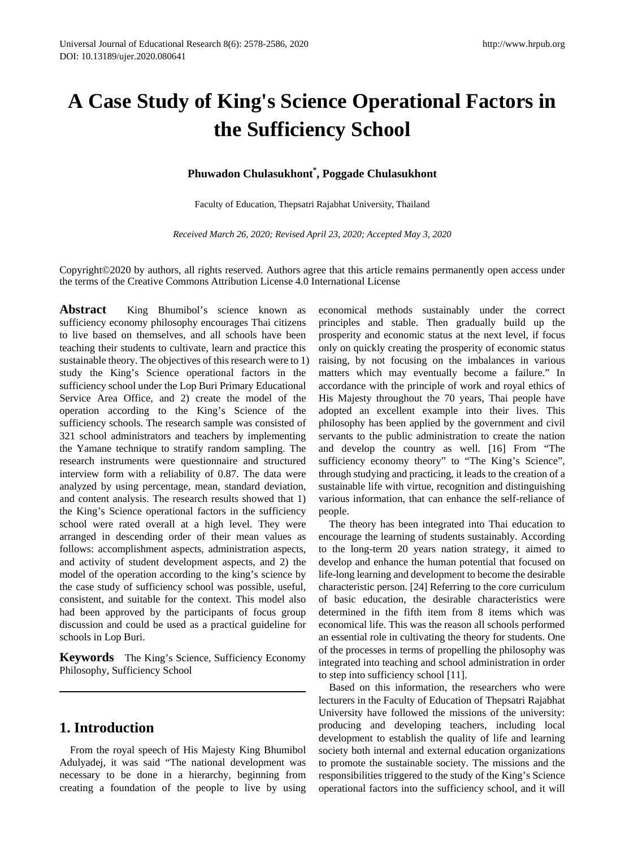# **A Case Study of King's Science Operational Factors in the Sufficiency School**

## **Phuwadon Chulasukhont\* , Poggade Chulasukhont**

Faculty of Education, Thepsatri Rajabhat University, Thailand

*Received March 26, 2020; Revised April 23, 2020; Accepted May 3, 2020*

Copyright©2020 by authors, all rights reserved. Authors agree that this article remains permanently open access under the terms of the Creative Commons Attribution License 4.0 International License

Abstract King Bhumibol's science known as sufficiency economy philosophy encourages Thai citizens to live based on themselves, and all schools have been teaching their students to cultivate, learn and practice this sustainable theory. The objectives of this research were to 1) study the King's Science operational factors in the sufficiency school under the Lop Buri Primary Educational Service Area Office, and 2) create the model of the operation according to the King's Science of the sufficiency schools. The research sample was consisted of 321 school administrators and teachers by implementing the Yamane technique to stratify random sampling. The research instruments were questionnaire and structured interview form with a reliability of 0.87. The data were analyzed by using percentage, mean, standard deviation, and content analysis. The research results showed that 1) the King's Science operational factors in the sufficiency school were rated overall at a high level. They were arranged in descending order of their mean values as follows: accomplishment aspects, administration aspects, and activity of student development aspects, and 2) the model of the operation according to the king's science by the case study of sufficiency school was possible, useful, consistent, and suitable for the context. This model also had been approved by the participants of focus group discussion and could be used as a practical guideline for schools in Lop Buri.

**Keywords** The King's Science, Sufficiency Economy Philosophy, Sufficiency School

# **1. Introduction**

From the royal speech of His Majesty King Bhumibol Adulyadej, it was said "The national development was necessary to be done in a hierarchy, beginning from creating a foundation of the people to live by using

economical methods sustainably under the correct principles and stable. Then gradually build up the prosperity and economic status at the next level, if focus only on quickly creating the prosperity of economic status raising, by not focusing on the imbalances in various matters which may eventually become a failure." In accordance with the principle of work and royal ethics of His Majesty throughout the 70 years, Thai people have adopted an excellent example into their lives. This philosophy has been applied by the government and civil servants to the public administration to create the nation and develop the country as well. [16] From "The sufficiency economy theory" to "The King's Science", through studying and practicing, it leads to the creation of a sustainable life with virtue, recognition and distinguishing various information, that can enhance the self-reliance of people.

The theory has been integrated into Thai education to encourage the learning of students sustainably. According to the long-term 20 years nation strategy, it aimed to develop and enhance the human potential that focused on life-long learning and development to become the desirable characteristic person. [24] Referring to the core curriculum of basic education, the desirable characteristics were determined in the fifth item from 8 items which was economical life. This was the reason all schools performed an essential role in cultivating the theory for students. One of the processes in terms of propelling the philosophy was integrated into teaching and school administration in order to step into sufficiency school [11].

Based on this information, the researchers who were lecturers in the Faculty of Education of Thepsatri Rajabhat University have followed the missions of the university: producing and developing teachers, including local development to establish the quality of life and learning society both internal and external education organizations to promote the sustainable society. The missions and the responsibilities triggered to the study of the King's Science operational factors into the sufficiency school, and it will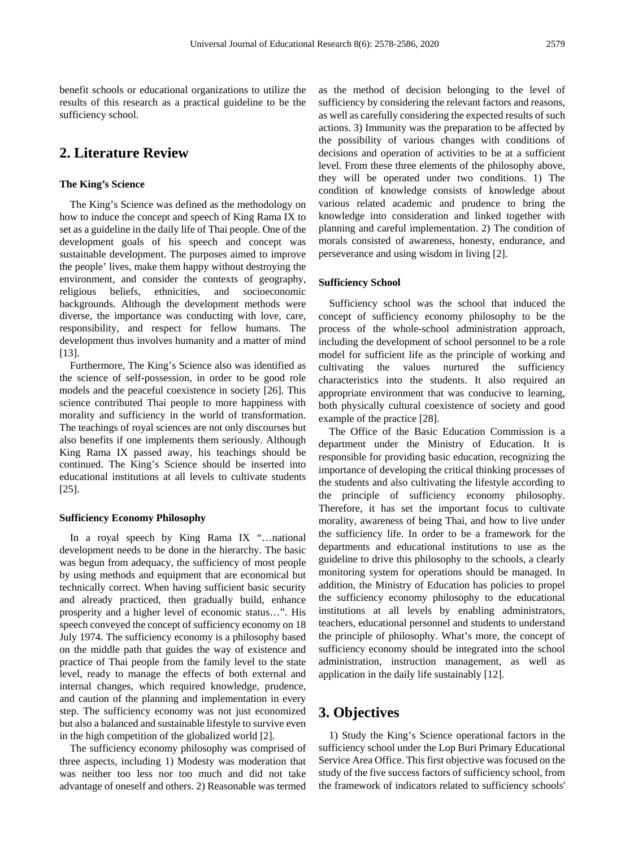benefit schools or educational organizations to utilize the results of this research as a practical guideline to be the sufficiency school.

# **2. Literature Review**

#### **The King's Science**

The King's Science was defined as the methodology on how to induce the concept and speech of King Rama IX to set as a guideline in the daily life of Thai people. One of the development goals of his speech and concept was sustainable development. The purposes aimed to improve the people' lives, make them happy without destroying the environment, and consider the contexts of geography, religious beliefs, ethnicities, and socioeconomic backgrounds. Although the development methods were diverse, the importance was conducting with love, care, responsibility, and respect for fellow humans. The development thus involves humanity and a matter of mind [13].

Furthermore, The King's Science also was identified as the science of self-possession, in order to be good role models and the peaceful coexistence in society [26]. This science contributed Thai people to more happiness with morality and sufficiency in the world of transformation. The teachings of royal sciences are not only discourses but also benefits if one implements them seriously. Although King Rama IX passed away, his teachings should be continued. The King's Science should be inserted into educational institutions at all levels to cultivate students [25].

#### **Sufficiency Economy Philosophy**

In a royal speech by King Rama IX "…national development needs to be done in the hierarchy. The basic was begun from adequacy, the sufficiency of most people by using methods and equipment that are economical but technically correct. When having sufficient basic security and already practiced, then gradually build, enhance prosperity and a higher level of economic status…". His speech conveyed the concept of sufficiency economy on 18 July 1974. The sufficiency economy is a philosophy based on the middle path that guides the way of existence and practice of Thai people from the family level to the state level, ready to manage the effects of both external and internal changes, which required knowledge, prudence, and caution of the planning and implementation in every step. The sufficiency economy was not just economized but also a balanced and sustainable lifestyle to survive even in the high competition of the globalized world [2].

The sufficiency economy philosophy was comprised of three aspects, including 1) Modesty was moderation that was neither too less nor too much and did not take advantage of oneself and others. 2) Reasonable was termed

as the method of decision belonging to the level of sufficiency by considering the relevant factors and reasons, as well as carefully considering the expected results of such actions. 3) Immunity was the preparation to be affected by the possibility of various changes with conditions of decisions and operation of activities to be at a sufficient level. From these three elements of the philosophy above, they will be operated under two conditions. 1) The condition of knowledge consists of knowledge about various related academic and prudence to bring the knowledge into consideration and linked together with planning and careful implementation. 2) The condition of morals consisted of awareness, honesty, endurance, and perseverance and using wisdom in living [2].

#### **Sufficiency School**

Sufficiency school was the school that induced the concept of sufficiency economy philosophy to be the process of the whole-school administration approach, including the development of school personnel to be a role model for sufficient life as the principle of working and cultivating the values nurtured the sufficiency characteristics into the students. It also required an appropriate environment that was conducive to learning, both physically cultural coexistence of society and good example of the practice [28].

The Office of the Basic Education Commission is a department under the Ministry of Education. It is responsible for providing basic education, recognizing the importance of developing the critical thinking processes of the students and also cultivating the lifestyle according to the principle of sufficiency economy philosophy. Therefore, it has set the important focus to cultivate morality, awareness of being Thai, and how to live under the sufficiency life. In order to be a framework for the departments and educational institutions to use as the guideline to drive this philosophy to the schools, a clearly monitoring system for operations should be managed. In addition, the Ministry of Education has policies to propel the sufficiency economy philosophy to the educational institutions at all levels by enabling administrators, teachers, educational personnel and students to understand the principle of philosophy. What's more, the concept of sufficiency economy should be integrated into the school administration, instruction management, as well as application in the daily life sustainably [12].

## **3. Objectives**

1) Study the King's Science operational factors in the sufficiency school under the Lop Buri Primary Educational Service Area Office. This first objective was focused on the study of the five success factors of sufficiency school, from the framework of indicators related to sufficiency schools'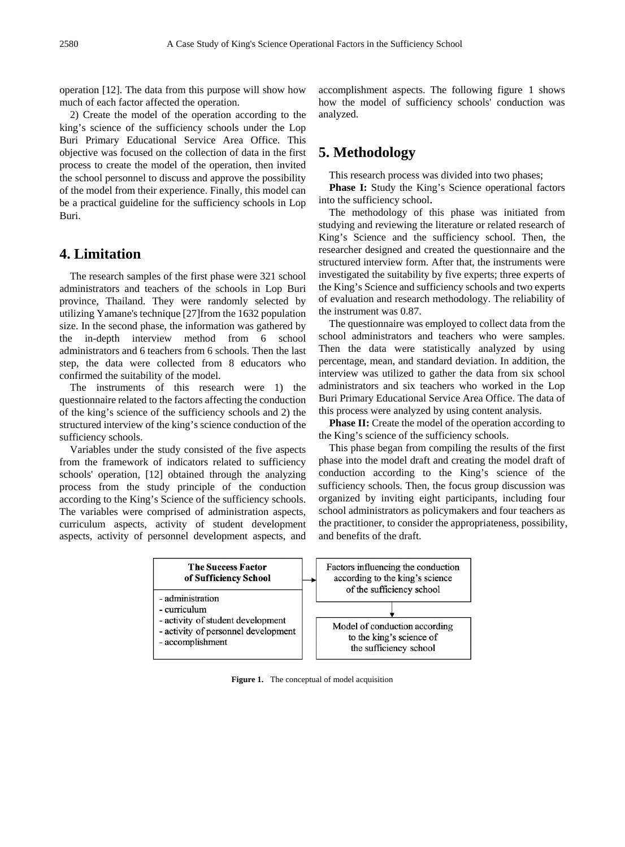operation [12]. The data from this purpose will show how much of each factor affected the operation.

2) Create the model of the operation according to the king's science of the sufficiency schools under the Lop Buri Primary Educational Service Area Office. This objective was focused on the collection of data in the first process to create the model of the operation, then invited the school personnel to discuss and approve the possibility of the model from their experience. Finally, this model can be a practical guideline for the sufficiency schools in Lop Buri.

# **4. Limitation**

The research samples of the first phase were 321 school administrators and teachers of the schools in Lop Buri province, Thailand. They were randomly selected by utilizing Yamane's technique [27]from the 1632 population size. In the second phase, the information was gathered by the in-depth interview method from 6 school administrators and 6 teachers from 6 schools. Then the last step, the data were collected from 8 educators who confirmed the suitability of the model.

The instruments of this research were 1) the questionnaire related to the factors affecting the conduction of the king's science of the sufficiency schools and 2) the structured interview of the king's science conduction of the sufficiency schools.

Variables under the study consisted of the five aspects from the framework of indicators related to sufficiency schools' operation, [12] obtained through the analyzing process from the study principle of the conduction according to the King's Science of the sufficiency schools. The variables were comprised of administration aspects, curriculum aspects, activity of student development aspects, activity of personnel development aspects, and

accomplishment aspects. The following figure 1 shows how the model of sufficiency schools' conduction was analyzed.

# **5. Methodology**

This research process was divided into two phases;

**Phase I:** Study the King's Science operational factors into the sufficiency school.

The methodology of this phase was initiated from studying and reviewing the literature or related research of King's Science and the sufficiency school. Then, the researcher designed and created the questionnaire and the structured interview form. After that, the instruments were investigated the suitability by five experts; three experts of the King's Science and sufficiency schools and two experts of evaluation and research methodology. The reliability of the instrument was 0.87.

The questionnaire was employed to collect data from the school administrators and teachers who were samples. Then the data were statistically analyzed by using percentage, mean, and standard deviation. In addition, the interview was utilized to gather the data from six school administrators and six teachers who worked in the Lop Buri Primary Educational Service Area Office. The data of this process were analyzed by using content analysis.

**Phase II:** Create the model of the operation according to the King's science of the sufficiency schools.

This phase began from compiling the results of the first phase into the model draft and creating the model draft of conduction according to the King's science of the sufficiency schools. Then, the focus group discussion was organized by inviting eight participants, including four school administrators as policymakers and four teachers as the practitioner, to consider the appropriateness, possibility, and benefits of the draft.



**Figure 1.** The conceptual of model acquisition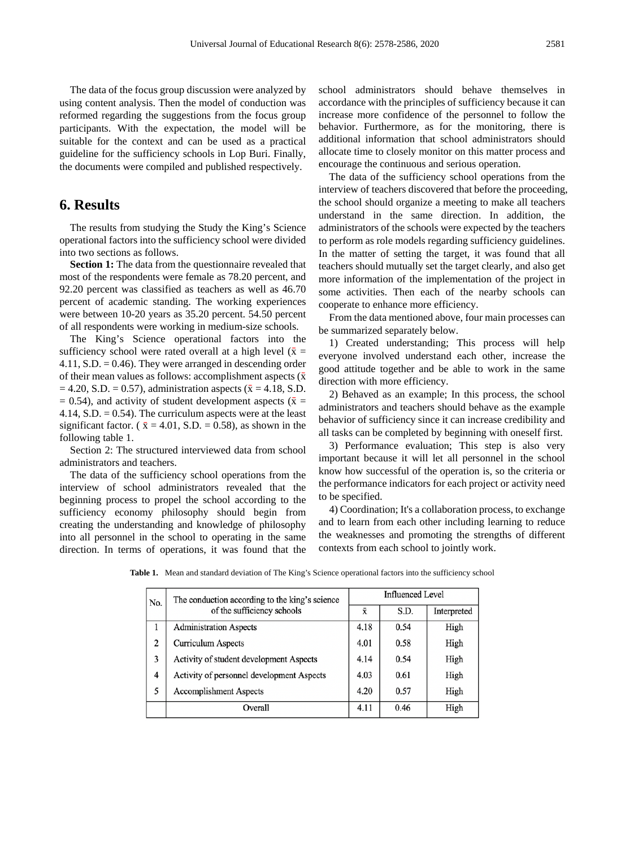The data of the focus group discussion were analyzed by using content analysis. Then the model of conduction was reformed regarding the suggestions from the focus group participants. With the expectation, the model will be suitable for the context and can be used as a practical guideline for the sufficiency schools in Lop Buri. Finally, the documents were compiled and published respectively.

## **6. Results**

The results from studying the Study the King's Science operational factors into the sufficiency school were divided into two sections as follows.

**Section 1:** The data from the questionnaire revealed that most of the respondents were female as 78.20 percent, and 92.20 percent was classified as teachers as well as 46.70 percent of academic standing. The working experiences were between 10-20 years as 35.20 percent. 54.50 percent of all respondents were working in medium-size schools.

The King's Science operational factors into the sufficiency school were rated overall at a high level ( $\bar{x}$  = 4.11,  $S.D. = 0.46$ . They were arranged in descending order of their mean values as follows: accomplishment aspects  $(\bar{x})$  $= 4.20, S.D. = 0.57$ , administration aspects ( $\bar{x} = 4.18, S.D.$  $= 0.54$ ), and activity of student development aspects ( $\bar{x}$  = 4.14, S.D.  $= 0.54$ ). The curriculum aspects were at the least significant factor. ( $\bar{x} = 4.01$ , S.D. = 0.58), as shown in the following table 1.

Section 2: The structured interviewed data from school administrators and teachers.

The data of the sufficiency school operations from the interview of school administrators revealed that the beginning process to propel the school according to the sufficiency economy philosophy should begin from creating the understanding and knowledge of philosophy into all personnel in the school to operating in the same direction. In terms of operations, it was found that the school administrators should behave themselves in accordance with the principles of sufficiency because it can increase more confidence of the personnel to follow the behavior. Furthermore, as for the monitoring, there is additional information that school administrators should allocate time to closely monitor on this matter process and encourage the continuous and serious operation.

The data of the sufficiency school operations from the interview of teachers discovered that before the proceeding, the school should organize a meeting to make all teachers understand in the same direction. In addition, the administrators of the schools were expected by the teachers to perform as role models regarding sufficiency guidelines. In the matter of setting the target, it was found that all teachers should mutually set the target clearly, and also get more information of the implementation of the project in some activities. Then each of the nearby schools can cooperate to enhance more efficiency.

From the data mentioned above, four main processes can be summarized separately below.

1) Created understanding; This process will help everyone involved understand each other, increase the good attitude together and be able to work in the same direction with more efficiency.

2) Behaved as an example; In this process, the school administrators and teachers should behave as the example behavior of sufficiency since it can increase credibility and all tasks can be completed by beginning with oneself first.

3) Performance evaluation; This step is also very important because it will let all personnel in the school know how successful of the operation is, so the criteria or the performance indicators for each project or activity need to be specified.

4) Coordination; It's a collaboration process, to exchange and to learn from each other including learning to reduce the weaknesses and promoting the strengths of different contexts from each school to jointly work.

| No. | The conduction according to the king's science<br>of the sufficiency schools | <b>Influenced Level</b> |      |             |
|-----|------------------------------------------------------------------------------|-------------------------|------|-------------|
|     |                                                                              | x                       | S.D. | Interpreted |
|     | <b>Administration Aspects</b>                                                | 4.18                    | 0.54 | High        |
| 2   | <b>Curriculum Aspects</b>                                                    | 4.01                    | 0.58 | High        |
| 3   | Activity of student development Aspects                                      | 4.14                    | 0.54 | High        |
| 4   | Activity of personnel development Aspects                                    | 4.03                    | 0.61 | High        |
| 5   | <b>Accomplishment Aspects</b>                                                | 4.20                    | 0.57 | High        |
|     | Overall                                                                      | 4.11                    | 0.46 | High        |

**Table 1.** Mean and standard deviation of The King's Science operational factors into the sufficiency school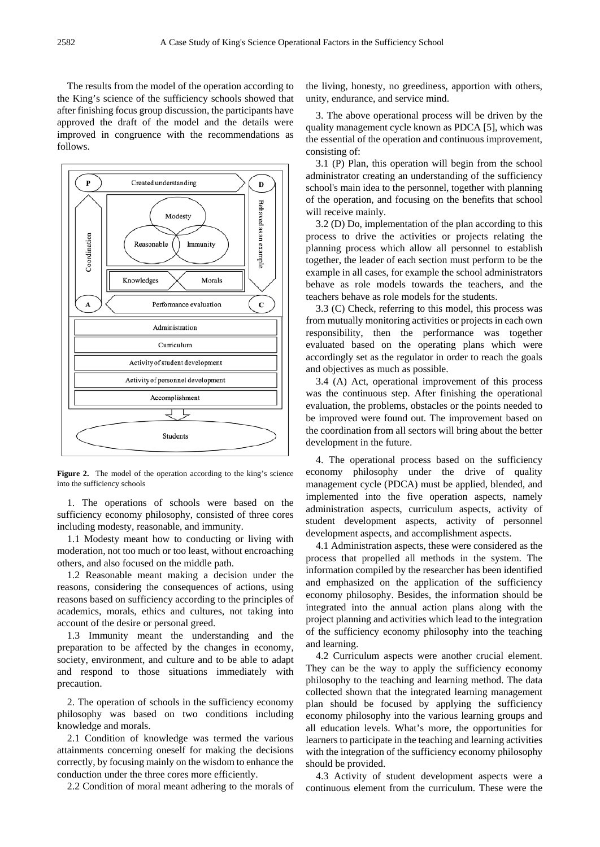The results from the model of the operation according to the King's science of the sufficiency schools showed that after finishing focus group discussion, the participants have approved the draft of the model and the details were improved in congruence with the recommendations as follows.



Figure 2. The model of the operation according to the king's science into the sufficiency schools

1. The operations of schools were based on the sufficiency economy philosophy, consisted of three cores including modesty, reasonable, and immunity.

1.1 Modesty meant how to conducting or living with moderation, not too much or too least, without encroaching others, and also focused on the middle path.

1.2 Reasonable meant making a decision under the reasons, considering the consequences of actions, using reasons based on sufficiency according to the principles of academics, morals, ethics and cultures, not taking into account of the desire or personal greed.

1.3 Immunity meant the understanding and the preparation to be affected by the changes in economy, society, environment, and culture and to be able to adapt and respond to those situations immediately with precaution.

2. The operation of schools in the sufficiency economy philosophy was based on two conditions including knowledge and morals.

2.1 Condition of knowledge was termed the various attainments concerning oneself for making the decisions correctly, by focusing mainly on the wisdom to enhance the conduction under the three cores more efficiently.

2.2 Condition of moral meant adhering to the morals of

the living, honesty, no greediness, apportion with others, unity, endurance, and service mind.

3. The above operational process will be driven by the quality management cycle known as PDCA [5], which was the essential of the operation and continuous improvement, consisting of:

3.1 (P) Plan, this operation will begin from the school administrator creating an understanding of the sufficiency school's main idea to the personnel, together with planning of the operation, and focusing on the benefits that school will receive mainly.

3.2 (D) Do, implementation of the plan according to this process to drive the activities or projects relating the planning process which allow all personnel to establish together, the leader of each section must perform to be the example in all cases, for example the school administrators behave as role models towards the teachers, and the teachers behave as role models for the students.

3.3 (C) Check, referring to this model, this process was from mutually monitoring activities or projects in each own responsibility, then the performance was together evaluated based on the operating plans which were accordingly set as the regulator in order to reach the goals and objectives as much as possible.

3.4 (A) Act, operational improvement of this process was the continuous step. After finishing the operational evaluation, the problems, obstacles or the points needed to be improved were found out. The improvement based on the coordination from all sectors will bring about the better development in the future.

4. The operational process based on the sufficiency economy philosophy under the drive of quality management cycle (PDCA) must be applied, blended, and implemented into the five operation aspects, namely administration aspects, curriculum aspects, activity of student development aspects, activity of personnel development aspects, and accomplishment aspects.

4.1 Administration aspects, these were considered as the process that propelled all methods in the system. The information compiled by the researcher has been identified and emphasized on the application of the sufficiency economy philosophy. Besides, the information should be integrated into the annual action plans along with the project planning and activities which lead to the integration of the sufficiency economy philosophy into the teaching and learning.

4.2 Curriculum aspects were another crucial element. They can be the way to apply the sufficiency economy philosophy to the teaching and learning method. The data collected shown that the integrated learning management plan should be focused by applying the sufficiency economy philosophy into the various learning groups and all education levels. What's more, the opportunities for learners to participate in the teaching and learning activities with the integration of the sufficiency economy philosophy should be provided.

4.3 Activity of student development aspects were a continuous element from the curriculum. These were the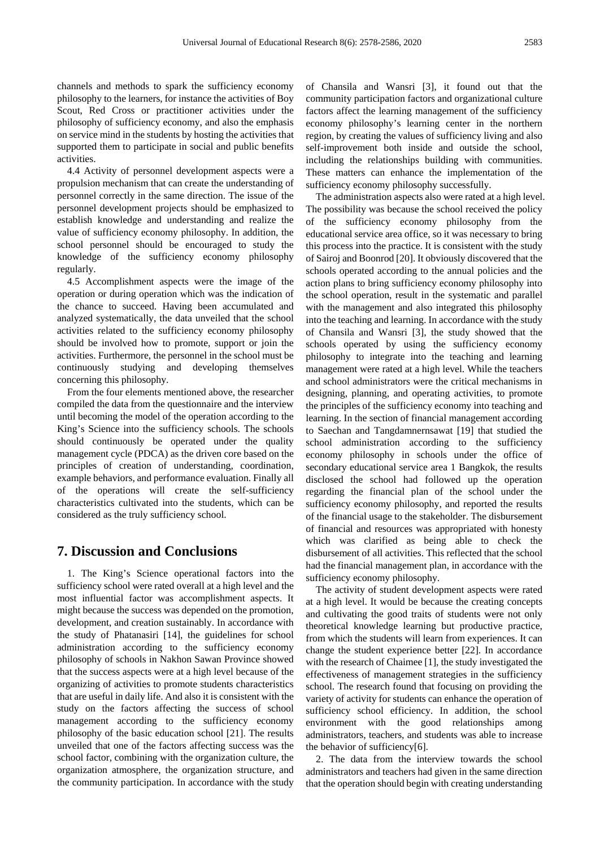channels and methods to spark the sufficiency economy philosophy to the learners, for instance the activities of Boy Scout, Red Cross or practitioner activities under the philosophy of sufficiency economy, and also the emphasis on service mind in the students by hosting the activities that supported them to participate in social and public benefits activities.

4.4 Activity of personnel development aspects were a propulsion mechanism that can create the understanding of personnel correctly in the same direction. The issue of the personnel development projects should be emphasized to establish knowledge and understanding and realize the value of sufficiency economy philosophy. In addition, the school personnel should be encouraged to study the knowledge of the sufficiency economy philosophy regularly.

4.5 Accomplishment aspects were the image of the operation or during operation which was the indication of the chance to succeed. Having been accumulated and analyzed systematically, the data unveiled that the school activities related to the sufficiency economy philosophy should be involved how to promote, support or join the activities. Furthermore, the personnel in the school must be continuously studying and developing themselves concerning this philosophy.

From the four elements mentioned above, the researcher compiled the data from the questionnaire and the interview until becoming the model of the operation according to the King's Science into the sufficiency schools. The schools should continuously be operated under the quality management cycle (PDCA) as the driven core based on the principles of creation of understanding, coordination, example behaviors, and performance evaluation. Finally all of the operations will create the self-sufficiency characteristics cultivated into the students, which can be considered as the truly sufficiency school.

## **7. Discussion and Conclusions**

1. The King's Science operational factors into the sufficiency school were rated overall at a high level and the most influential factor was accomplishment aspects. It might because the success was depended on the promotion, development, and creation sustainably. In accordance with the study of Phatanasiri [14], the guidelines for school administration according to the sufficiency economy philosophy of schools in Nakhon Sawan Province showed that the success aspects were at a high level because of the organizing of activities to promote students characteristics that are useful in daily life. And also it is consistent with the study on the factors affecting the success of school management according to the sufficiency economy philosophy of the basic education school [21]. The results unveiled that one of the factors affecting success was the school factor, combining with the organization culture, the organization atmosphere, the organization structure, and the community participation. In accordance with the study of Chansila and Wansri [3], it found out that the community participation factors and organizational culture factors affect the learning management of the sufficiency economy philosophy's learning center in the northern region, by creating the values of sufficiency living and also self-improvement both inside and outside the school, including the relationships building with communities. These matters can enhance the implementation of the sufficiency economy philosophy successfully.

The administration aspects also were rated at a high level. The possibility was because the school received the policy of the sufficiency economy philosophy from the educational service area office, so it was necessary to bring this process into the practice. It is consistent with the study of Sairoj and Boonrod [20]. It obviously discovered that the schools operated according to the annual policies and the action plans to bring sufficiency economy philosophy into the school operation, result in the systematic and parallel with the management and also integrated this philosophy into the teaching and learning. In accordance with the study of Chansila and Wansri [3], the study showed that the schools operated by using the sufficiency economy philosophy to integrate into the teaching and learning management were rated at a high level. While the teachers and school administrators were the critical mechanisms in designing, planning, and operating activities, to promote the principles of the sufficiency economy into teaching and learning. In the section of financial management according to Saechan and Tangdamnernsawat [19] that studied the school administration according to the sufficiency economy philosophy in schools under the office of secondary educational service area 1 Bangkok, the results disclosed the school had followed up the operation regarding the financial plan of the school under the sufficiency economy philosophy, and reported the results of the financial usage to the stakeholder. The disbursement of financial and resources was appropriated with honesty which was clarified as being able to check the disbursement of all activities. This reflected that the school had the financial management plan, in accordance with the sufficiency economy philosophy.

The activity of student development aspects were rated at a high level. It would be because the creating concepts and cultivating the good traits of students were not only theoretical knowledge learning but productive practice, from which the students will learn from experiences. It can change the student experience better [22]. In accordance with the research of Chaimee [1], the study investigated the effectiveness of management strategies in the sufficiency school. The research found that focusing on providing the variety of activity for students can enhance the operation of sufficiency school efficiency. In addition, the school environment with the good relationships among administrators, teachers, and students was able to increase the behavior of sufficiency[6].

2. The data from the interview towards the school administrators and teachers had given in the same direction that the operation should begin with creating understanding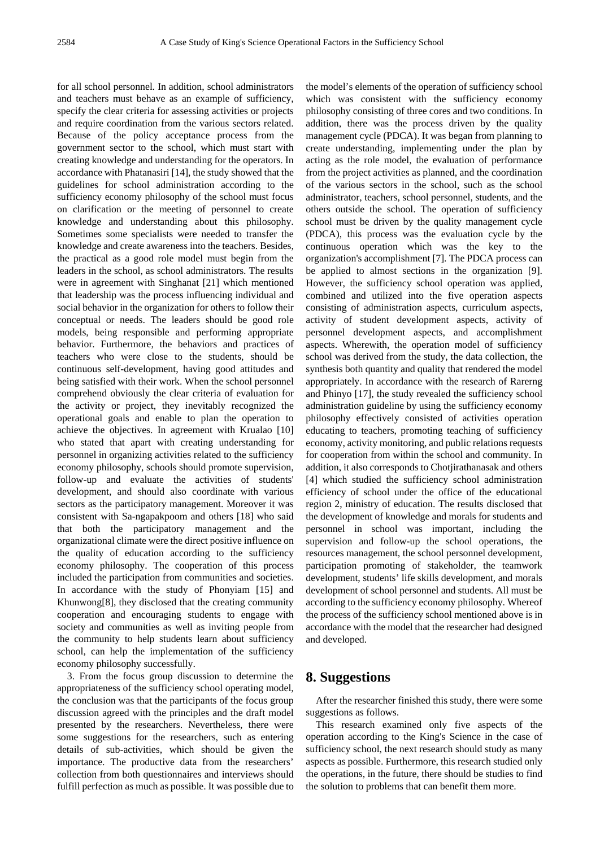for all school personnel. In addition, school administrators and teachers must behave as an example of sufficiency, specify the clear criteria for assessing activities or projects and require coordination from the various sectors related. Because of the policy acceptance process from the government sector to the school, which must start with creating knowledge and understanding for the operators. In accordance with Phatanasiri [14], the study showed that the guidelines for school administration according to the sufficiency economy philosophy of the school must focus on clarification or the meeting of personnel to create knowledge and understanding about this philosophy. Sometimes some specialists were needed to transfer the knowledge and create awareness into the teachers. Besides, the practical as a good role model must begin from the leaders in the school, as school administrators. The results were in agreement with Singhanat [21] which mentioned that leadership was the process influencing individual and social behavior in the organization for others to follow their conceptual or needs. The leaders should be good role models, being responsible and performing appropriate behavior. Furthermore, the behaviors and practices of teachers who were close to the students, should be continuous self-development, having good attitudes and being satisfied with their work. When the school personnel comprehend obviously the clear criteria of evaluation for the activity or project, they inevitably recognized the operational goals and enable to plan the operation to achieve the objectives. In agreement with Krualao [10] who stated that apart with creating understanding for personnel in organizing activities related to the sufficiency economy philosophy, schools should promote supervision, follow-up and evaluate the activities of students' development, and should also coordinate with various sectors as the participatory management. Moreover it was consistent with Sa-ngapakpoom and others [18] who said that both the participatory management and the organizational climate were the direct positive influence on the quality of education according to the sufficiency economy philosophy. The cooperation of this process included the participation from communities and societies. In accordance with the study of Phonyiam [15] and Khunwong[8], they disclosed that the creating community cooperation and encouraging students to engage with society and communities as well as inviting people from the community to help students learn about sufficiency school, can help the implementation of the sufficiency economy philosophy successfully.

3. From the focus group discussion to determine the appropriateness of the sufficiency school operating model, the conclusion was that the participants of the focus group discussion agreed with the principles and the draft model presented by the researchers. Nevertheless, there were some suggestions for the researchers, such as entering details of sub-activities, which should be given the importance. The productive data from the researchers' collection from both questionnaires and interviews should fulfill perfection as much as possible. It was possible due to

the model's elements of the operation of sufficiency school which was consistent with the sufficiency economy philosophy consisting of three cores and two conditions. In addition, there was the process driven by the quality management cycle (PDCA). It was began from planning to create understanding, implementing under the plan by acting as the role model, the evaluation of performance from the project activities as planned, and the coordination of the various sectors in the school, such as the school administrator, teachers, school personnel, students, and the others outside the school. The operation of sufficiency school must be driven by the quality management cycle (PDCA), this process was the evaluation cycle by the continuous operation which was the key to the organization's accomplishment [7]. The PDCA process can be applied to almost sections in the organization [9]. However, the sufficiency school operation was applied, combined and utilized into the five operation aspects consisting of administration aspects, curriculum aspects, activity of student development aspects, activity of personnel development aspects, and accomplishment aspects. Wherewith, the operation model of sufficiency school was derived from the study, the data collection, the synthesis both quantity and quality that rendered the model appropriately. In accordance with the research of Rarerng and Phinyo [17], the study revealed the sufficiency school administration guideline by using the sufficiency economy philosophy effectively consisted of activities operation educating to teachers, promoting teaching of sufficiency economy, activity monitoring, and public relations requests for cooperation from within the school and community. In addition, it also corresponds to Chotjirathanasak and others [4] which studied the sufficiency school administration efficiency of school under the office of the educational region 2, ministry of education. The results disclosed that the development of knowledge and morals for students and personnel in school was important, including the supervision and follow-up the school operations, the resources management, the school personnel development, participation promoting of stakeholder, the teamwork development, students' life skills development, and morals development of school personnel and students. All must be according to the sufficiency economy philosophy. Whereof the process of the sufficiency school mentioned above is in accordance with the model that the researcher had designed and developed.

#### **8. Suggestions**

After the researcher finished this study, there were some suggestions as follows.

This research examined only five aspects of the operation according to the King's Science in the case of sufficiency school, the next research should study as many aspects as possible. Furthermore, this research studied only the operations, in the future, there should be studies to find the solution to problems that can benefit them more.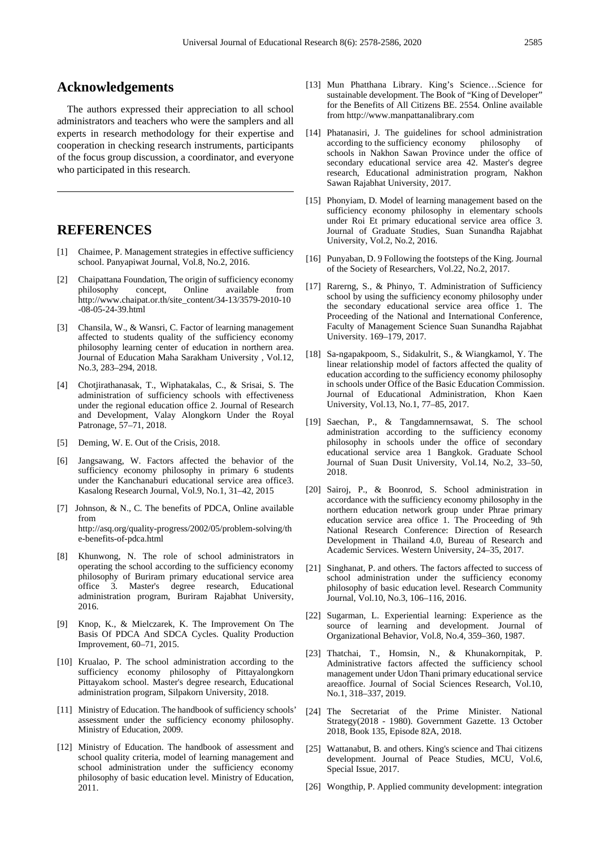## **Acknowledgements**

The authors expressed their appreciation to all school administrators and teachers who were the samplers and all experts in research methodology for their expertise and cooperation in checking research instruments, participants of the focus group discussion, a coordinator, and everyone who participated in this research.

# **REFERENCES**

- [1] Chaimee, P. Management strategies in effective sufficiency school. Panyapiwat Journal, Vol.8, No.2, 2016.
- [2] Chaipattana Foundation, The origin of sufficiency economy philosophy concept, Online available from http://www.chaipat.or.th/site\_content/34-13/3579-2010-10 -08-05-24-39.html
- [3] Chansila, W., & Wansri, C. Factor of learning management affected to students quality of the sufficiency economy philosophy learning center of education in northern area. Journal of Education Maha Sarakham University , Vol.12, No.3, 283–294, 2018.
- [4] Chotjirathanasak, T., Wiphatakalas, C., & Srisai, S. The administration of sufficiency schools with effectiveness under the regional education office 2. Journal of Research and Development, Valay Alongkorn Under the Royal Patronage, 57–71, 2018.
- [5] Deming, W. E. Out of the Crisis, 2018.
- [6] Jangsawang, W. Factors affected the behavior of the sufficiency economy philosophy in primary 6 students under the Kanchanaburi educational service area office3. Kasalong Research Journal, Vol.9, No.1, 31–42, 2015
- [7] Johnson, & N., C. The benefits of PDCA, Online available from http://asq.org/quality-progress/2002/05/problem-solving/th e-benefits-of-pdca.html
- [8] Khunwong, N. The role of school administrators in operating the school according to the sufficiency economy philosophy of Buriram primary educational service area office 3. Master's degree research, Educational administration program, Buriram Rajabhat University, 2016.
- [9] Knop, K., & Mielczarek, K. The Improvement On The Basis Of PDCA And SDCA Cycles. Quality Production Improvement, 60–71, 2015.
- [10] Krualao, P. The school administration according to the sufficiency economy philosophy of Pittayalongkorn Pittayakom school. Master's degree research, Educational administration program, Silpakorn University, 2018.
- [11] Ministry of Education. The handbook of sufficiency schools' assessment under the sufficiency economy philosophy. Ministry of Education, 2009.
- [12] Ministry of Education. The handbook of assessment and school quality criteria, model of learning management and school administration under the sufficiency economy philosophy of basic education level. Ministry of Education, 2011.
- [13] Mun Phatthana Library. King's Science…Science for sustainable development. The Book of "King of Developer" for the Benefits of All Citizens BE. 2554. Online available from http://www.manpattanalibrary.com
- [14] Phatanasiri, J. The guidelines for school administration according to the sufficiency economy philosophy of schools in Nakhon Sawan Province under the office of secondary educational service area 42. Master's degree research, Educational administration program, Nakhon Sawan Rajabhat University, 2017.
- [15] Phonyiam, D. Model of learning management based on the sufficiency economy philosophy in elementary schools under Roi Et primary educational service area office 3. Journal of Graduate Studies, Suan Sunandha Rajabhat University, Vol.2, No.2, 2016.
- [16] Punyaban, D. 9 Following the footsteps of the King. Journal of the Society of Researchers, Vol.22, No.2, 2017.
- [17] Rarerng, S., & Phinyo, T. Administration of Sufficiency school by using the sufficiency economy philosophy under the secondary educational service area office 1. The Proceeding of the National and International Conference, Faculty of Management Science Suan Sunandha Rajabhat University. 169–179, 2017.
- [18] Sa-ngapakpoom, S., Sidakulrit, S., & Wiangkamol, Y. The linear relationship model of factors affected the quality of education according to the sufficiency economy philosophy in schools under Office of the Basic Education Commission. Journal of Educational Administration, Khon Kaen University, Vol.13, No.1, 77–85, 2017.
- [19] Saechan, P., & Tangdamnernsawat, S. The school administration according to the sufficiency economy philosophy in schools under the office of secondary educational service area 1 Bangkok. Graduate School Journal of Suan Dusit University, Vol.14, No.2, 33–50, 2018.
- [20] Sairoj, P., & Boonrod, S. School administration in accordance with the sufficiency economy philosophy in the northern education network group under Phrae primary education service area office 1. The Proceeding of 9th National Research Conference: Direction of Research Development in Thailand 4.0, Bureau of Research and Academic Services. Western University, 24–35, 2017.
- [21] Singhanat, P. and others. The factors affected to success of school administration under the sufficiency economy philosophy of basic education level. Research Community Journal, Vol.10, No.3, 106–116, 2016.
- [22] Sugarman, L. Experiential learning: Experience as the source of learning and development. Journal of Organizational Behavior, Vol.8, No.4, 359–360, 1987.
- [23] Thatchai, T., Homsin, N., & Khunakornpitak, P. Administrative factors affected the sufficiency school management under Udon Thani primary educational service areaoffice. Journal of Social Sciences Research, Vol.10, No.1, 318–337, 2019.
- [24] The Secretariat of the Prime Minister. National Strategy(2018 - 1980). Government Gazette. 13 October 2018, Book 135, Episode 82A, 2018.
- [25] Wattanabut, B. and others. King's science and Thai citizens development. Journal of Peace Studies, MCU, Vol.6, Special Issue, 2017.
- [26] Wongthip, P. Applied community development: integration